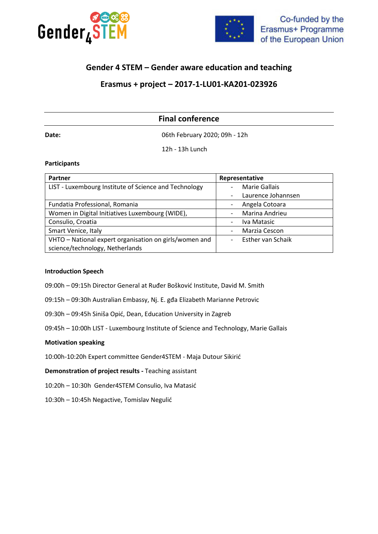



# **Gender 4 STEM – Gender aware education and teaching**

# **Erasmus + project – 2017-1-LU01-KA201-023926**

# **Final conference**

**Date:** 06th February 2020; 09h - 12h

12h - 13h Lunch

#### **Participants**

| <b>Partner</b>                                         | Representative                                |
|--------------------------------------------------------|-----------------------------------------------|
| LIST - Luxembourg Institute of Science and Technology  | Marie Gallais                                 |
|                                                        | Laurence Johannsen<br>-                       |
| Fundatia Professional, Romania                         | Angela Cotoara<br>$\overline{\phantom{a}}$    |
| Women in Digital Initiatives Luxembourg (WIDE),        | Marina Andrieu<br>$\overline{\phantom{0}}$    |
| Consulio, Croatia                                      | Iva Matasic<br>$\overline{\phantom{a}}$       |
| Smart Venice, Italy                                    | Marzia Cescon<br>۰                            |
| VHTO - National expert organisation on girls/women and | Esther van Schaik<br>$\overline{\phantom{0}}$ |
| science/technology, Netherlands                        |                                               |

#### **Introduction Speech**

- 09:00h 09:15h Director General at Ruđer Bošković Institute, David M. Smith
- 09:15h 09:30h Australian Embassy, Nj. E. gđa Elizabeth Marianne Petrovic
- 09:30h 09:45h Siniša Opić, Dean, Education University in Zagreb
- 09:45h 10:00h LIST Luxembourg Institute of Science and Technology, Marie Gallais

#### **Motivation speaking**

10:00h-10:20h Expert committee Gender4STEM - Maja Dutour Sikirić

**Demonstration of project results -** Teaching assistant

10:20h – 10:30h Gender4STEM Consulio, Iva Matasić

10:30h – 10:45h Negactive, Tomislav Negulić